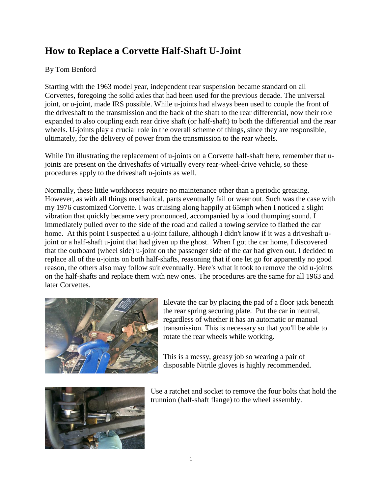## **How to Replace a Corvette Half-Shaft U-Joint**

## By Tom Benford

Starting with the 1963 model year, independent rear suspension became standard on all Corvettes, foregoing the solid axles that had been used for the previous decade. The universal joint, or u-joint, made IRS possible. While u-joints had always been used to couple the front of the driveshaft to the transmission and the back of the shaft to the rear differential, now their role expanded to also coupling each rear drive shaft (or half-shaft) to both the differential and the rear wheels. U-joints play a crucial role in the overall scheme of things, since they are responsible, ultimately, for the delivery of power from the transmission to the rear wheels.

While I'm illustrating the replacement of u-joints on a Corvette half-shaft here, remember that ujoints are present on the driveshafts of virtually every rear-wheel-drive vehicle, so these procedures apply to the driveshaft u-joints as well.

Normally, these little workhorses require no maintenance other than a periodic greasing. However, as with all things mechanical, parts eventually fail or wear out. Such was the case with my 1976 customized Corvette. I was cruising along happily at 65mph when I noticed a slight vibration that quickly became very pronounced, accompanied by a loud thumping sound. I immediately pulled over to the side of the road and called a towing service to flatbed the car home. At this point I suspected a u-joint failure, although I didn't know if it was a driveshaft ujoint or a half-shaft u-joint that had given up the ghost. When I got the car home, I discovered that the outboard (wheel side) u-joint on the passenger side of the car had given out. I decided to replace all of the u-joints on both half-shafts, reasoning that if one let go for apparently no good reason, the others also may follow suit eventually. Here's what it took to remove the old u-joints on the half-shafts and replace them with new ones. The procedures are the same for all 1963 and later Corvettes.



Elevate the car by placing the pad of a floor jack beneath the rear spring securing plate. Put the car in neutral, regardless of whether it has an automatic or manual transmission. This is necessary so that you'll be able to rotate the rear wheels while working.

This is a messy, greasy job so wearing a pair of disposable Nitrile gloves is highly recommended.



Use a ratchet and socket to remove the four bolts that hold the trunnion (half-shaft flange) to the wheel assembly.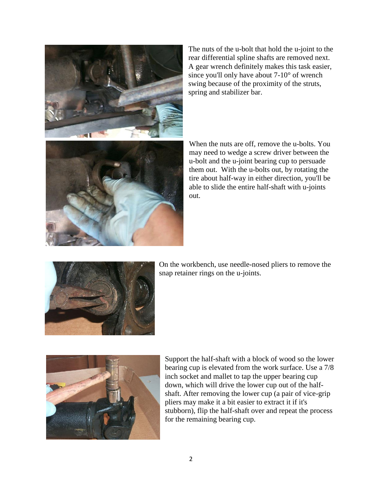

The nuts of the u-bolt that hold the u-joint to the rear differential spline shafts are removed next. A gear wrench definitely makes this task easier, since you'll only have about 7-10° of wrench swing because of the proximity of the struts, spring and stabilizer bar.



When the nuts are off, remove the u-bolts. You may need to wedge a screw driver between the u-bolt and the u-joint bearing cup to persuade them out. With the u-bolts out, by rotating the tire about half-way in either direction, you'll be able to slide the entire half-shaft with u-joints out.



On the workbench, use needle-nosed pliers to remove the snap retainer rings on the u-joints.



Support the half-shaft with a block of wood so the lower bearing cup is elevated from the work surface. Use a 7/8 inch socket and mallet to tap the upper bearing cup down, which will drive the lower cup out of the halfshaft. After removing the lower cup (a pair of vice-grip pliers may make it a bit easier to extract it if it's stubborn), flip the half-shaft over and repeat the process for the remaining bearing cup.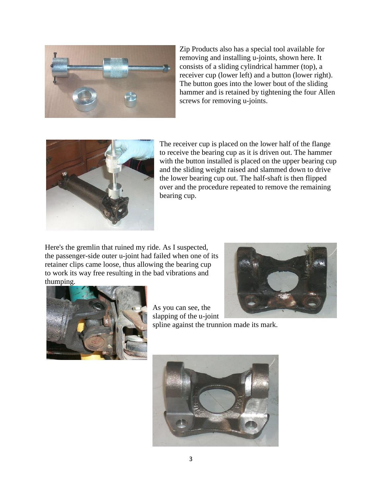

Zip Products also has a special tool available for removing and installing u-joints, shown here. It consists of a sliding cylindrical hammer (top), a receiver cup (lower left) and a button (lower right). The button goes into the lower bout of the sliding hammer and is retained by tightening the four Allen screws for removing u-joints.



The receiver cup is placed on the lower half of the flange to receive the bearing cup as it is driven out. The hammer with the button installed is placed on the upper bearing cup and the sliding weight raised and slammed down to drive the lower bearing cup out. The half-shaft is then flipped over and the procedure repeated to remove the remaining bearing cup.

Here's the gremlin that ruined my ride. As I suspected, the passenger-side outer u-joint had failed when one of its retainer clips came loose, thus allowing the bearing cup to work its way free resulting in the bad vibrations and thumping.



As you can see, the slapping of the u-joint spline against the trunnion made its mark.

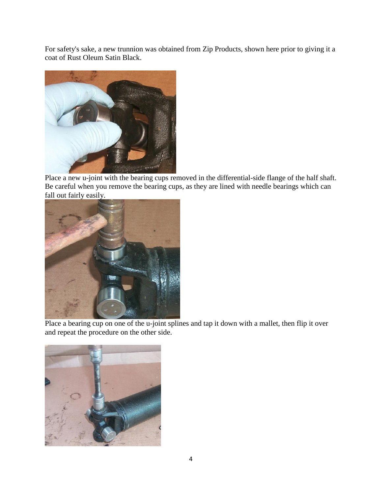For safety's sake, a new trunnion was obtained from Zip Products, shown here prior to giving it a coat of Rust Oleum Satin Black.



Place a new u-joint with the bearing cups removed in the differential-side flange of the half shaft. Be careful when you remove the bearing cups, as they are lined with needle bearings which can fall out fairly easily.



Place a bearing cup on one of the u-joint splines and tap it down with a mallet, then flip it over and repeat the procedure on the other side.

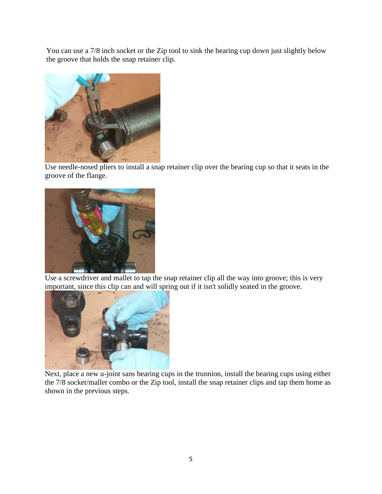You can use a 7/8 inch socket or the Zip tool to sink the bearing cup down just slightly below the groove that holds the snap retainer clip.



Use needle-nosed pliers to install a snap retainer clip over the bearing cup so that it seats in the groove of the flange.



Use a screwdriver and mallet to tap the snap retainer clip all the way into groove; this is very important, since this clip can and will spring out if it isn't solidly seated in the groove.



Next, place a new u-joint sans bearing cups in the trunnion, install the bearing cups using either the 7/8 socket/mallet combo or the Zip tool, install the snap retainer clips and tap them home as shown in the previous steps.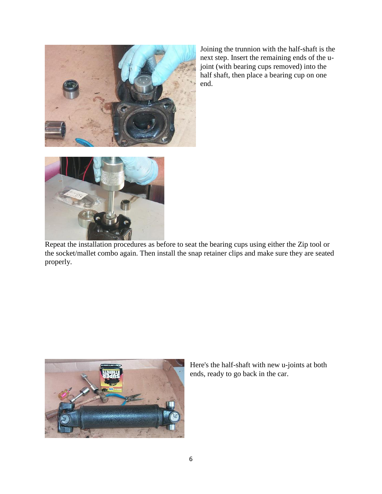

Joining the trunnion with the half-shaft is the next step. Insert the remaining ends of the ujoint (with bearing cups removed) into the half shaft, then place a bearing cup on one end.



Repeat the installation procedures as before to seat the bearing cups using either the Zip tool or the socket/mallet combo again. Then install the snap retainer clips and make sure they are seated properly.



Here's the half-shaft with new u-joints at both ends, ready to go back in the car.